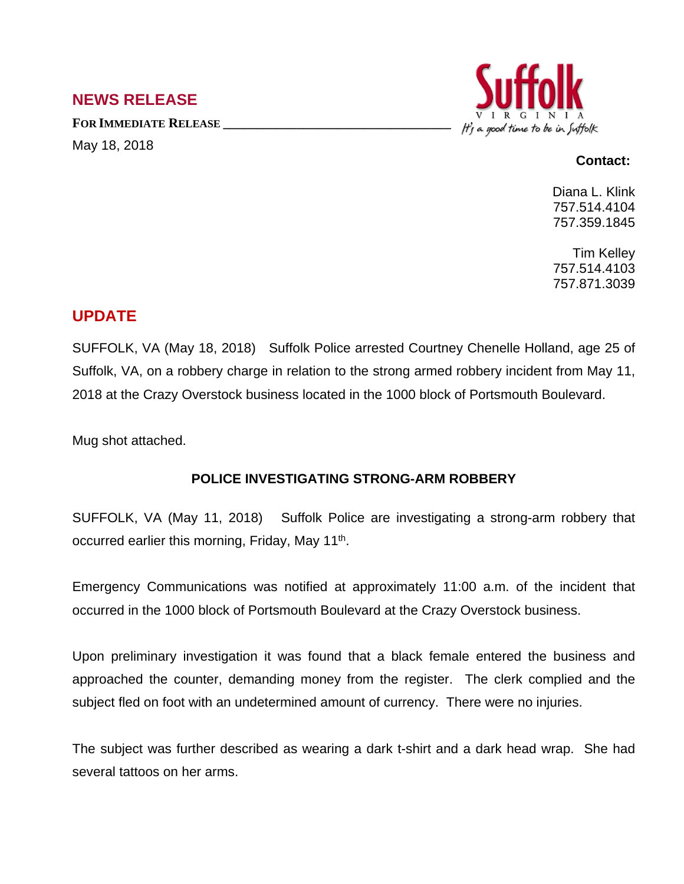## **NEWS RELEASE**

**FOR IMMEDIATE RELEASE \_\_\_\_\_\_\_\_\_\_\_\_\_\_\_\_\_\_\_\_\_\_\_\_\_\_\_\_\_\_\_\_\_\_** May 18, 2018



## **Contact:**

Diana L. Klink 757.514.4104 757.359.1845

Tim Kelley 757.514.4103 757.871.3039

## **UPDATE**

SUFFOLK, VA (May 18, 2018) Suffolk Police arrested Courtney Chenelle Holland, age 25 of Suffolk, VA, on a robbery charge in relation to the strong armed robbery incident from May 11, 2018 at the Crazy Overstock business located in the 1000 block of Portsmouth Boulevard.

Mug shot attached.

## **POLICE INVESTIGATING STRONG-ARM ROBBERY**

SUFFOLK, VA (May 11, 2018) Suffolk Police are investigating a strong-arm robbery that occurred earlier this morning, Friday, May 11<sup>th</sup>.

Emergency Communications was notified at approximately 11:00 a.m. of the incident that occurred in the 1000 block of Portsmouth Boulevard at the Crazy Overstock business.

Upon preliminary investigation it was found that a black female entered the business and approached the counter, demanding money from the register. The clerk complied and the subject fled on foot with an undetermined amount of currency. There were no injuries.

The subject was further described as wearing a dark t-shirt and a dark head wrap. She had several tattoos on her arms.